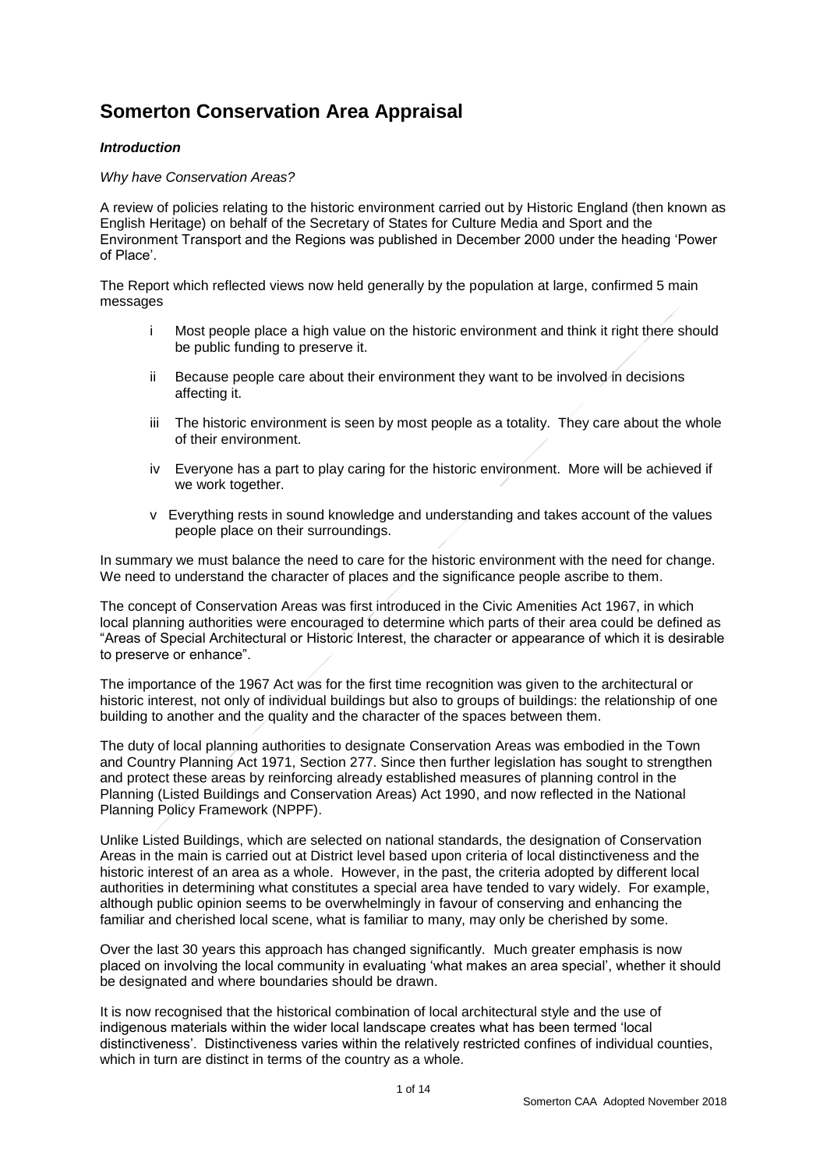## **Somerton Conservation Area Appraisal**

## *Introduction*

## *Why have Conservation Areas?*

A review of policies relating to the historic environment carried out by Historic England (then known as English Heritage) on behalf of the Secretary of States for Culture Media and Sport and the Environment Transport and the Regions was published in December 2000 under the heading 'Power of Place'.

The Report which reflected views now held generally by the population at large, confirmed 5 main messages

- i Most people place a high value on the historic environment and think it right there should be public funding to preserve it.
- ii Because people care about their environment they want to be involved in decisions affecting it.
- iii The historic environment is seen by most people as a totality. They care about the whole of their environment.
- iv Everyone has a part to play caring for the historic environment. More will be achieved if we work together.
- v Everything rests in sound knowledge and understanding and takes account of the values people place on their surroundings.

In summary we must balance the need to care for the historic environment with the need for change. We need to understand the character of places and the significance people ascribe to them.

The concept of Conservation Areas was first introduced in the Civic Amenities Act 1967, in which local planning authorities were encouraged to determine which parts of their area could be defined as "Areas of Special Architectural or Historic Interest, the character or appearance of which it is desirable to preserve or enhance".

The importance of the 1967 Act was for the first time recognition was given to the architectural or historic interest, not only of individual buildings but also to groups of buildings: the relationship of one building to another and the quality and the character of the spaces between them.

The duty of local planning authorities to designate Conservation Areas was embodied in the Town and Country Planning Act 1971, Section 277. Since then further legislation has sought to strengthen and protect these areas by reinforcing already established measures of planning control in the Planning (Listed Buildings and Conservation Areas) Act 1990, and now reflected in the National Planning Policy Framework (NPPF).

Unlike Listed Buildings, which are selected on national standards, the designation of Conservation Areas in the main is carried out at District level based upon criteria of local distinctiveness and the historic interest of an area as a whole. However, in the past, the criteria adopted by different local authorities in determining what constitutes a special area have tended to vary widely. For example, although public opinion seems to be overwhelmingly in favour of conserving and enhancing the familiar and cherished local scene, what is familiar to many, may only be cherished by some.

Over the last 30 years this approach has changed significantly. Much greater emphasis is now placed on involving the local community in evaluating 'what makes an area special', whether it should be designated and where boundaries should be drawn.

It is now recognised that the historical combination of local architectural style and the use of indigenous materials within the wider local landscape creates what has been termed 'local distinctiveness'. Distinctiveness varies within the relatively restricted confines of individual counties, which in turn are distinct in terms of the country as a whole.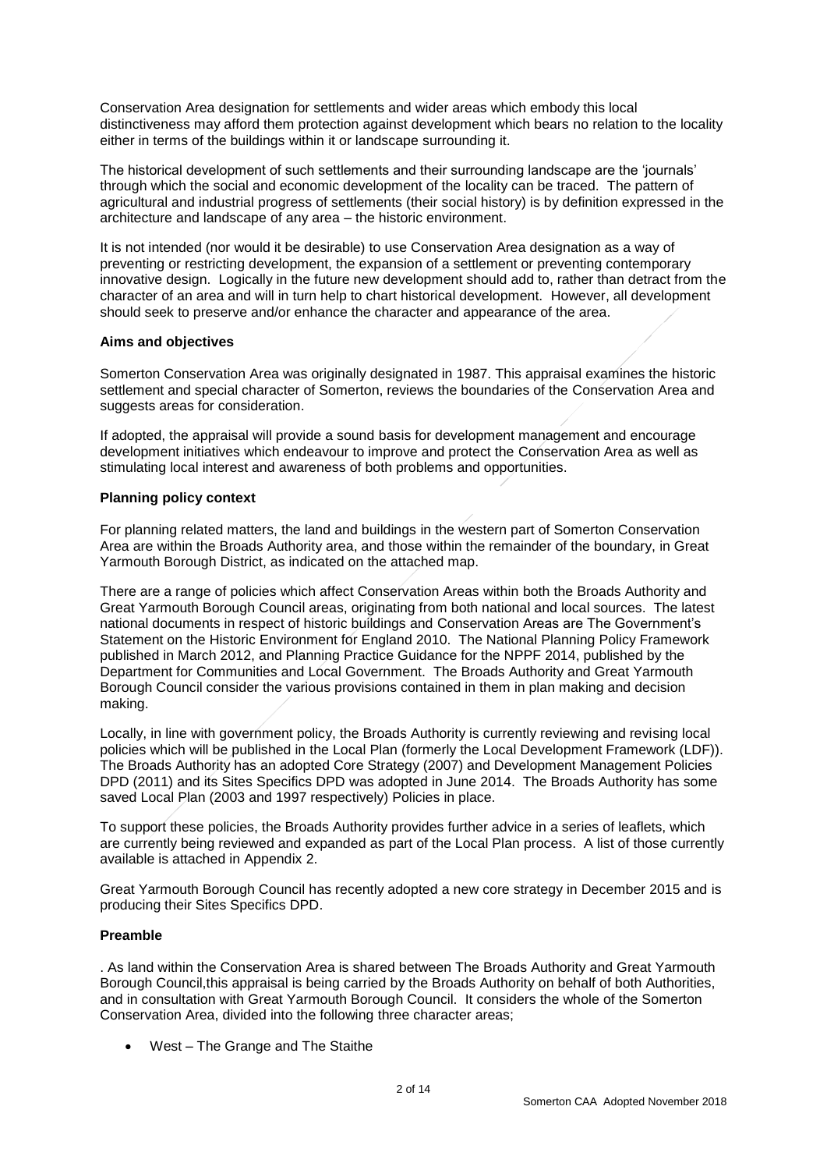Conservation Area designation for settlements and wider areas which embody this local distinctiveness may afford them protection against development which bears no relation to the locality either in terms of the buildings within it or landscape surrounding it.

The historical development of such settlements and their surrounding landscape are the 'journals' through which the social and economic development of the locality can be traced. The pattern of agricultural and industrial progress of settlements (their social history) is by definition expressed in the architecture and landscape of any area – the historic environment.

It is not intended (nor would it be desirable) to use Conservation Area designation as a way of preventing or restricting development, the expansion of a settlement or preventing contemporary innovative design. Logically in the future new development should add to, rather than detract from the character of an area and will in turn help to chart historical development. However, all development should seek to preserve and/or enhance the character and appearance of the area.

#### **Aims and objectives**

Somerton Conservation Area was originally designated in 1987. This appraisal examines the historic settlement and special character of Somerton, reviews the boundaries of the Conservation Area and suggests areas for consideration.

If adopted, the appraisal will provide a sound basis for development management and encourage development initiatives which endeavour to improve and protect the Conservation Area as well as stimulating local interest and awareness of both problems and opportunities.

#### **Planning policy context**

For planning related matters, the land and buildings in the western part of Somerton Conservation Area are within the Broads Authority area, and those within the remainder of the boundary, in Great Yarmouth Borough District, as indicated on the attached map.

There are a range of policies which affect Conservation Areas within both the Broads Authority and Great Yarmouth Borough Council areas, originating from both national and local sources. The latest national documents in respect of historic buildings and Conservation Areas are The Government's Statement on the Historic Environment for England 2010. The National Planning Policy Framework published in March 2012, and Planning Practice Guidance for the NPPF 2014, published by the Department for Communities and Local Government. The Broads Authority and Great Yarmouth Borough Council consider the various provisions contained in them in plan making and decision making.

Locally, in line with government policy, the Broads Authority is currently reviewing and revising local policies which will be published in the Local Plan (formerly the Local Development Framework (LDF)). The Broads Authority has an adopted Core Strategy (2007) and Development Management Policies DPD (2011) and its Sites Specifics DPD was adopted in June 2014. The Broads Authority has some saved Local Plan (2003 and 1997 respectively) Policies in place.

To support these policies, the Broads Authority provides further advice in a series of leaflets, which are currently being reviewed and expanded as part of the Local Plan process. A list of those currently available is attached in Appendix 2.

Great Yarmouth Borough Council has recently adopted a new core strategy in December 2015 and is producing their Sites Specifics DPD.

## **Preamble**

. As land within the Conservation Area is shared between The Broads Authority and Great Yarmouth Borough Council,this appraisal is being carried by the Broads Authority on behalf of both Authorities, and in consultation with Great Yarmouth Borough Council. It considers the whole of the Somerton Conservation Area, divided into the following three character areas;

• West – The Grange and The Staithe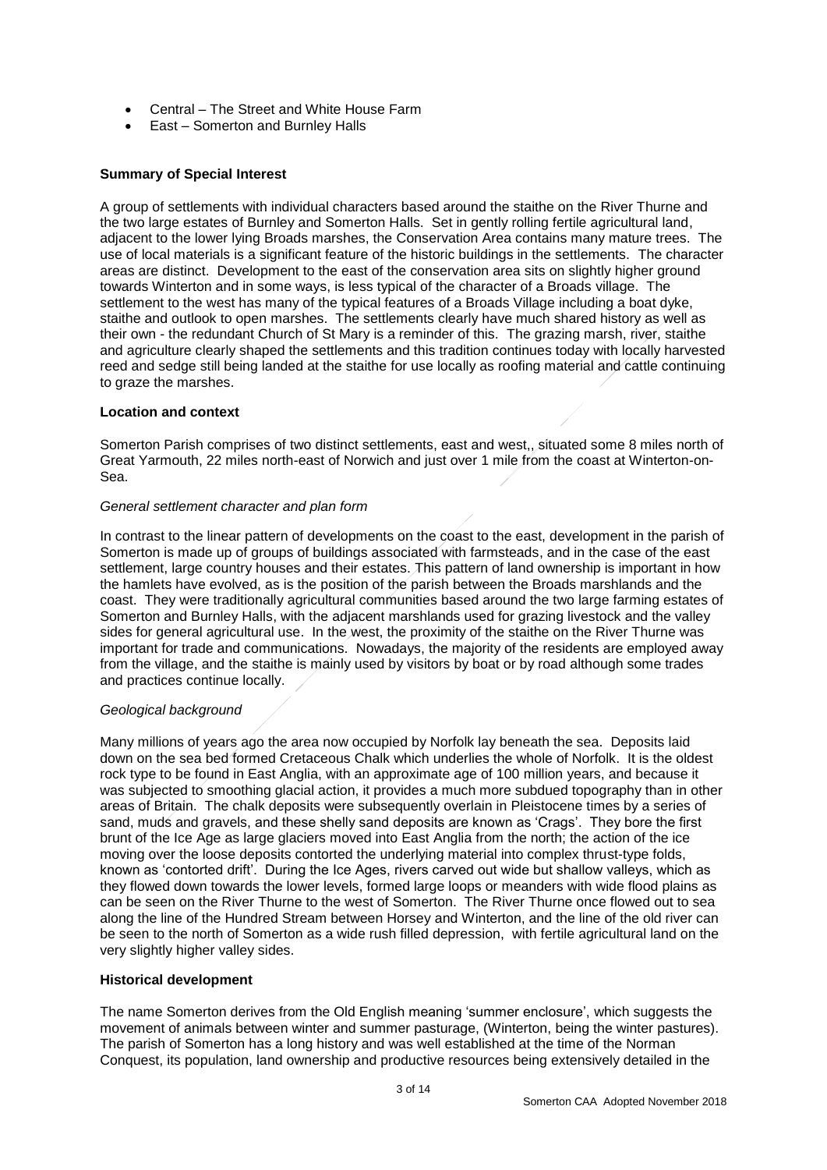- Central The Street and White House Farm
- East Somerton and Burnley Halls

## **Summary of Special Interest**

A group of settlements with individual characters based around the staithe on the River Thurne and the two large estates of Burnley and Somerton Halls. Set in gently rolling fertile agricultural land, adjacent to the lower lying Broads marshes, the Conservation Area contains many mature trees. The use of local materials is a significant feature of the historic buildings in the settlements. The character areas are distinct. Development to the east of the conservation area sits on slightly higher ground towards Winterton and in some ways, is less typical of the character of a Broads village. The settlement to the west has many of the typical features of a Broads Village including a boat dyke, staithe and outlook to open marshes. The settlements clearly have much shared history as well as their own - the redundant Church of St Mary is a reminder of this. The grazing marsh, river, staithe and agriculture clearly shaped the settlements and this tradition continues today with locally harvested reed and sedge still being landed at the staithe for use locally as roofing material and cattle continuing to graze the marshes.

#### **Location and context**

Somerton Parish comprises of two distinct settlements, east and west,, situated some 8 miles north of Great Yarmouth, 22 miles north-east of Norwich and just over 1 mile from the coast at Winterton-on-Sea.

#### *General settlement character and plan form*

In contrast to the linear pattern of developments on the coast to the east, development in the parish of Somerton is made up of groups of buildings associated with farmsteads, and in the case of the east settlement, large country houses and their estates. This pattern of land ownership is important in how the hamlets have evolved, as is the position of the parish between the Broads marshlands and the coast. They were traditionally agricultural communities based around the two large farming estates of Somerton and Burnley Halls, with the adjacent marshlands used for grazing livestock and the valley sides for general agricultural use. In the west, the proximity of the staithe on the River Thurne was important for trade and communications. Nowadays, the majority of the residents are employed away from the village, and the staithe is mainly used by visitors by boat or by road although some trades and practices continue locally.

## *Geological background*

Many millions of years ago the area now occupied by Norfolk lay beneath the sea. Deposits laid down on the sea bed formed Cretaceous Chalk which underlies the whole of Norfolk. It is the oldest rock type to be found in East Anglia, with an approximate age of 100 million years, and because it was subjected to smoothing glacial action, it provides a much more subdued topography than in other areas of Britain. The chalk deposits were subsequently overlain in Pleistocene times by a series of sand, muds and gravels, and these shelly sand deposits are known as 'Crags'. They bore the first brunt of the Ice Age as large glaciers moved into East Anglia from the north; the action of the ice moving over the loose deposits contorted the underlying material into complex thrust-type folds, known as 'contorted drift'. During the Ice Ages, rivers carved out wide but shallow valleys, which as they flowed down towards the lower levels, formed large loops or meanders with wide flood plains as can be seen on the River Thurne to the west of Somerton. The River Thurne once flowed out to sea along the line of the Hundred Stream between Horsey and Winterton, and the line of the old river can be seen to the north of Somerton as a wide rush filled depression, with fertile agricultural land on the very slightly higher valley sides.

## **Historical development**

The name Somerton derives from the Old English meaning 'summer enclosure', which suggests the movement of animals between winter and summer pasturage, (Winterton, being the winter pastures). The parish of Somerton has a long history and was well established at the time of the Norman Conquest, its population, land ownership and productive resources being extensively detailed in the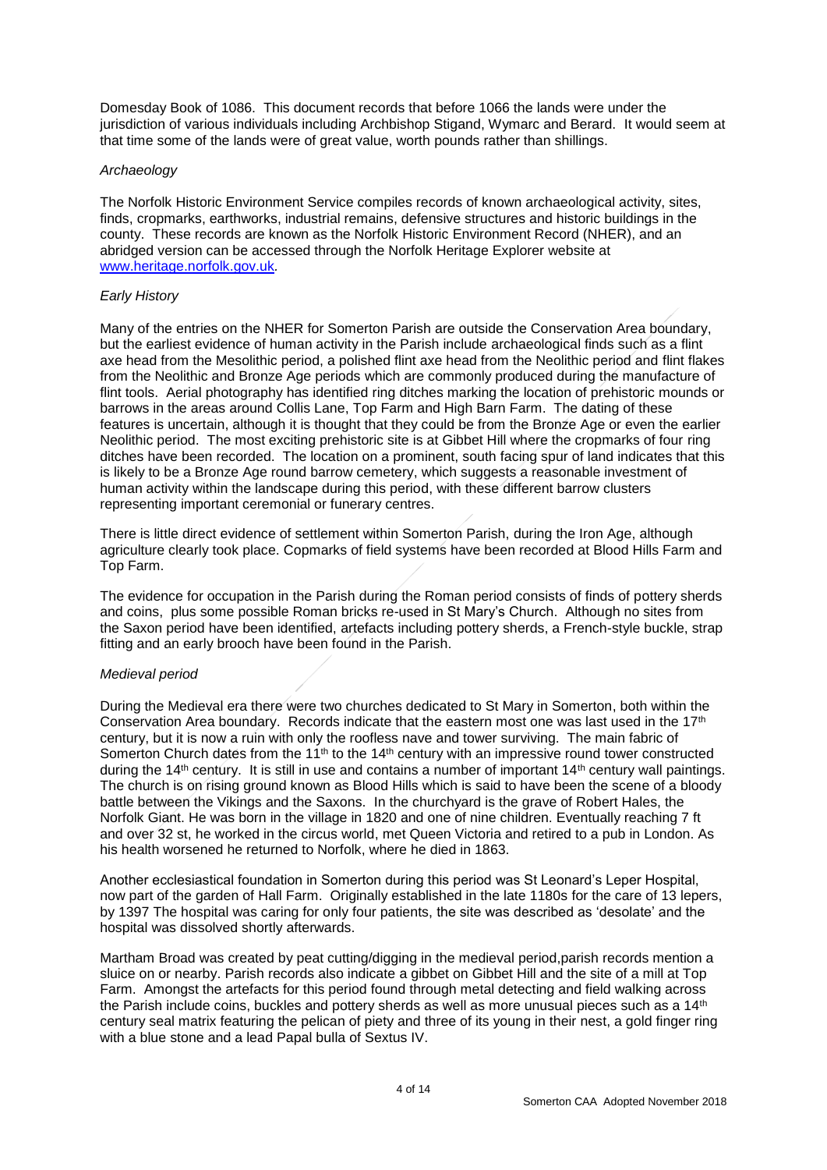Domesday Book of 1086. This document records that before 1066 the lands were under the jurisdiction of various individuals including Archbishop Stigand, Wymarc and Berard. It would seem at that time some of the lands were of great value, worth pounds rather than shillings.

## *Archaeology*

The Norfolk Historic Environment Service compiles records of known archaeological activity, sites, finds, cropmarks, earthworks, industrial remains, defensive structures and historic buildings in the county. These records are known as the Norfolk Historic Environment Record (NHER), and an abridged version can be accessed through the Norfolk Heritage Explorer website at [www.heritage.norfolk.gov.uk](http://www.heritage.norfolk.gov.uk/)*.* 

#### *Early History*

Many of the entries on the NHER for Somerton Parish are outside the Conservation Area boundary, but the earliest evidence of human activity in the Parish include archaeological finds such as a flint axe head from the Mesolithic period, a polished flint axe head from the Neolithic period and flint flakes from the Neolithic and Bronze Age periods which are commonly produced during the manufacture of flint tools. Aerial photography has identified ring ditches marking the location of prehistoric mounds or barrows in the areas around Collis Lane, Top Farm and High Barn Farm. The dating of these features is uncertain, although it is thought that they could be from the Bronze Age or even the earlier Neolithic period. The most exciting prehistoric site is at Gibbet Hill where the cropmarks of four ring ditches have been recorded. The location on a prominent, south facing spur of land indicates that this is likely to be a Bronze Age round barrow cemetery, which suggests a reasonable investment of human activity within the landscape during this period, with these different barrow clusters representing important ceremonial or funerary centres.

There is little direct evidence of settlement within Somerton Parish, during the Iron Age, although agriculture clearly took place. Copmarks of field systems have been recorded at Blood Hills Farm and Top Farm.

The evidence for occupation in the Parish during the Roman period consists of finds of pottery sherds and coins, plus some possible Roman bricks re-used in St Mary's Church. Although no sites from the Saxon period have been identified, artefacts including pottery sherds, a French-style buckle, strap fitting and an early brooch have been found in the Parish.

## *Medieval period*

During the Medieval era there were two churches dedicated to St Mary in Somerton, both within the Conservation Area boundary. Records indicate that the eastern most one was last used in the 17th century, but it is now a ruin with only the roofless nave and tower surviving. The main fabric of Somerton Church dates from the 11<sup>th</sup> to the 14<sup>th</sup> century with an impressive round tower constructed during the 14<sup>th</sup> century. It is still in use and contains a number of important 14<sup>th</sup> century wall paintings. The church is on rising ground known as Blood Hills which is said to have been the scene of a bloody battle between the Vikings and the Saxons. In the churchyard is the grave of Robert Hales, the Norfolk Giant. He was born in the village in 1820 and one of nine children. Eventually reaching 7 ft and over 32 st, he worked in the circus world, met Queen Victoria and retired to a pub in London. As his health worsened he returned to Norfolk, where he died in 1863.

Another ecclesiastical foundation in Somerton during this period was St Leonard's Leper Hospital, now part of the garden of Hall Farm. Originally established in the late 1180s for the care of 13 lepers, by 1397 The hospital was caring for only four patients, the site was described as 'desolate' and the hospital was dissolved shortly afterwards.

Martham Broad was created by peat cutting/digging in the medieval period,parish records mention a sluice on or nearby. Parish records also indicate a gibbet on Gibbet Hill and the site of a mill at Top Farm. Amongst the artefacts for this period found through metal detecting and field walking across the Parish include coins, buckles and pottery sherds as well as more unusual pieces such as a 14<sup>th</sup> century seal matrix featuring the pelican of piety and three of its young in their nest, a gold finger ring with a blue stone and a lead Papal bulla of Sextus IV.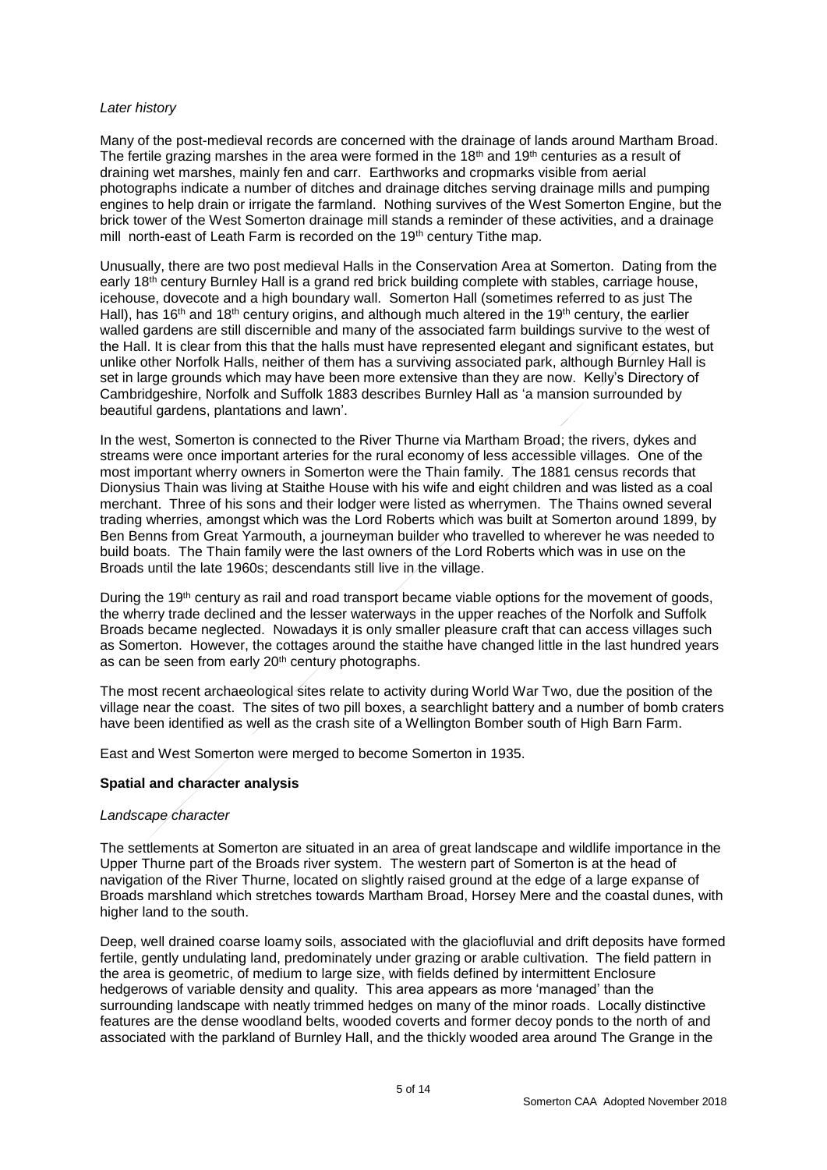#### *Later history*

Many of the post-medieval records are concerned with the drainage of lands around Martham Broad. The fertile grazing marshes in the area were formed in the 18<sup>th</sup> and 19<sup>th</sup> centuries as a result of draining wet marshes, mainly fen and carr. Earthworks and cropmarks visible from aerial photographs indicate a number of ditches and drainage ditches serving drainage mills and pumping engines to help drain or irrigate the farmland. Nothing survives of the West Somerton Engine, but the brick tower of the West Somerton drainage mill stands a reminder of these activities, and a drainage mill north-east of Leath Farm is recorded on the 19<sup>th</sup> century Tithe map.

Unusually, there are two post medieval Halls in the Conservation Area at Somerton. Dating from the early 18<sup>th</sup> century Burnley Hall is a grand red brick building complete with stables, carriage house, icehouse, dovecote and a high boundary wall. Somerton Hall (sometimes referred to as just The Hall), has 16<sup>th</sup> and 18<sup>th</sup> century origins, and although much altered in the 19<sup>th</sup> century, the earlier walled gardens are still discernible and many of the associated farm buildings survive to the west of the Hall. It is clear from this that the halls must have represented elegant and significant estates, but unlike other Norfolk Halls, neither of them has a surviving associated park, although Burnley Hall is set in large grounds which may have been more extensive than they are now. Kelly's Directory of Cambridgeshire, Norfolk and Suffolk 1883 describes Burnley Hall as 'a mansion surrounded by beautiful gardens, plantations and lawn'.

In the west, Somerton is connected to the River Thurne via Martham Broad; the rivers, dykes and streams were once important arteries for the rural economy of less accessible villages. One of the most important wherry owners in Somerton were the Thain family. The 1881 census records that Dionysius Thain was living at Staithe House with his wife and eight children and was listed as a coal merchant. Three of his sons and their lodger were listed as wherrymen. The Thains owned several trading wherries, amongst which was the Lord Roberts which was built at Somerton around 1899, by Ben Benns from Great Yarmouth, a journeyman builder who travelled to wherever he was needed to build boats. The Thain family were the last owners of the Lord Roberts which was in use on the Broads until the late 1960s; descendants still live in the village.

During the 19<sup>th</sup> century as rail and road transport became viable options for the movement of goods, the wherry trade declined and the lesser waterways in the upper reaches of the Norfolk and Suffolk Broads became neglected. Nowadays it is only smaller pleasure craft that can access villages such as Somerton. However, the cottages around the staithe have changed little in the last hundred years as can be seen from early 20<sup>th</sup> century photographs.

The most recent archaeological sites relate to activity during World War Two, due the position of the village near the coast. The sites of two pill boxes, a searchlight battery and a number of bomb craters have been identified as well as the crash site of a Wellington Bomber south of High Barn Farm.

East and West Somerton were merged to become Somerton in 1935.

#### **Spatial and character analysis**

#### *Landscape character*

The settlements at Somerton are situated in an area of great landscape and wildlife importance in the Upper Thurne part of the Broads river system. The western part of Somerton is at the head of navigation of the River Thurne, located on slightly raised ground at the edge of a large expanse of Broads marshland which stretches towards Martham Broad, Horsey Mere and the coastal dunes, with higher land to the south.

Deep, well drained coarse loamy soils, associated with the glaciofluvial and drift deposits have formed fertile, gently undulating land, predominately under grazing or arable cultivation. The field pattern in the area is geometric, of medium to large size, with fields defined by intermittent Enclosure hedgerows of variable density and quality. This area appears as more 'managed' than the surrounding landscape with neatly trimmed hedges on many of the minor roads. Locally distinctive features are the dense woodland belts, wooded coverts and former decoy ponds to the north of and associated with the parkland of Burnley Hall, and the thickly wooded area around The Grange in the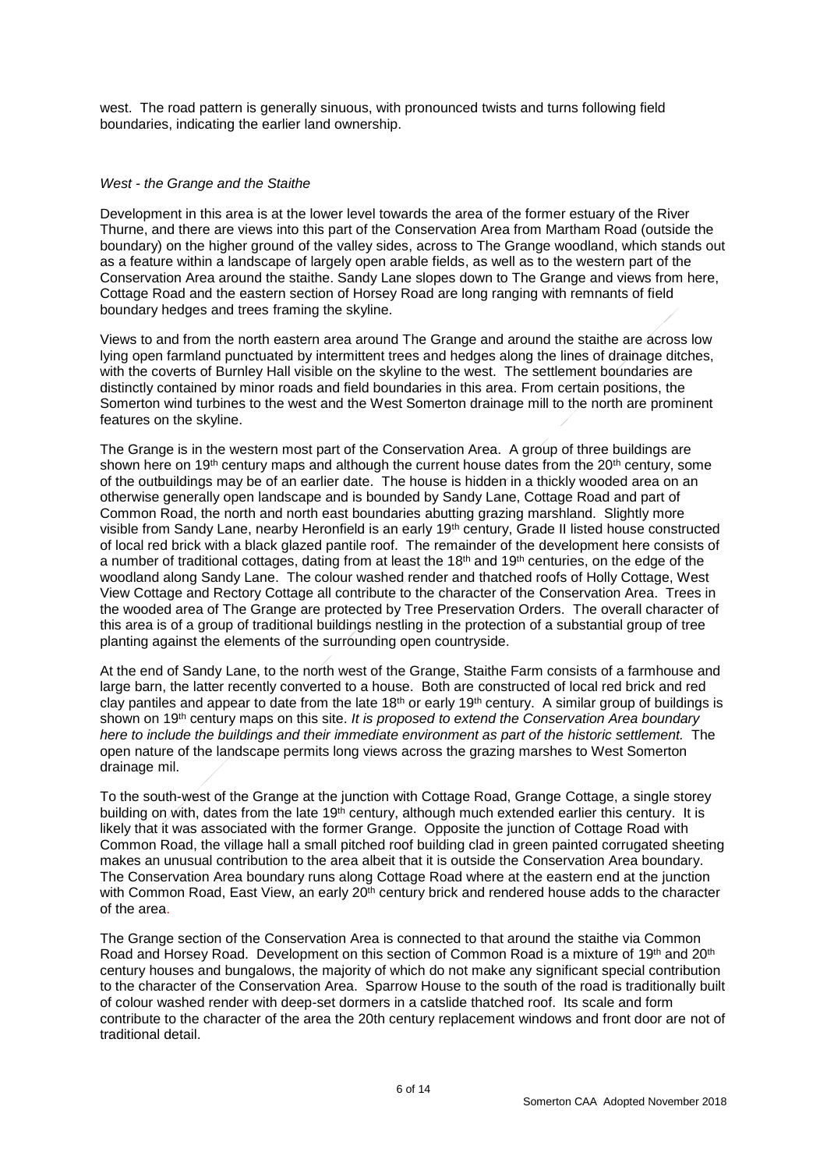west. The road pattern is generally sinuous, with pronounced twists and turns following field boundaries, indicating the earlier land ownership.

#### *West - the Grange and the Staithe*

Development in this area is at the lower level towards the area of the former estuary of the River Thurne, and there are views into this part of the Conservation Area from Martham Road (outside the boundary) on the higher ground of the valley sides, across to The Grange woodland, which stands out as a feature within a landscape of largely open arable fields, as well as to the western part of the Conservation Area around the staithe. Sandy Lane slopes down to The Grange and views from here, Cottage Road and the eastern section of Horsey Road are long ranging with remnants of field boundary hedges and trees framing the skyline.

Views to and from the north eastern area around The Grange and around the staithe are across low lying open farmland punctuated by intermittent trees and hedges along the lines of drainage ditches, with the coverts of Burnley Hall visible on the skyline to the west. The settlement boundaries are distinctly contained by minor roads and field boundaries in this area. From certain positions, the Somerton wind turbines to the west and the West Somerton drainage mill to the north are prominent features on the skyline.

The Grange is in the western most part of the Conservation Area. A group of three buildings are shown here on 19<sup>th</sup> century maps and although the current house dates from the  $20<sup>th</sup>$  century, some of the outbuildings may be of an earlier date. The house is hidden in a thickly wooded area on an otherwise generally open landscape and is bounded by Sandy Lane, Cottage Road and part of Common Road, the north and north east boundaries abutting grazing marshland. Slightly more visible from Sandy Lane, nearby Heronfield is an early 19th century, Grade II listed house constructed of local red brick with a black glazed pantile roof. The remainder of the development here consists of a number of traditional cottages, dating from at least the 18<sup>th</sup> and 19<sup>th</sup> centuries, on the edge of the woodland along Sandy Lane. The colour washed render and thatched roofs of Holly Cottage, West View Cottage and Rectory Cottage all contribute to the character of the Conservation Area. Trees in the wooded area of The Grange are protected by Tree Preservation Orders. The overall character of this area is of a group of traditional buildings nestling in the protection of a substantial group of tree planting against the elements of the surrounding open countryside.

At the end of Sandy Lane, to the north west of the Grange, Staithe Farm consists of a farmhouse and large barn, the latter recently converted to a house. Both are constructed of local red brick and red clay pantiles and appear to date from the late  $18<sup>th</sup>$  or early 19<sup>th</sup> century. A similar group of buildings is shown on 19th century maps on this site. *It is proposed to extend the Conservation Area boundary here to include the buildings and their immediate environment as part of the historic settlement.* The open nature of the landscape permits long views across the grazing marshes to West Somerton drainage mil.

To the south-west of the Grange at the junction with Cottage Road, Grange Cottage, a single storey building on with, dates from the late 19<sup>th</sup> century, although much extended earlier this century. It is likely that it was associated with the former Grange. Opposite the junction of Cottage Road with Common Road, the village hall a small pitched roof building clad in green painted corrugated sheeting makes an unusual contribution to the area albeit that it is outside the Conservation Area boundary. The Conservation Area boundary runs along Cottage Road where at the eastern end at the junction with Common Road, East View, an early 20<sup>th</sup> century brick and rendered house adds to the character of the area.

The Grange section of the Conservation Area is connected to that around the staithe via Common Road and Horsey Road. Development on this section of Common Road is a mixture of 19<sup>th</sup> and 20<sup>th</sup> century houses and bungalows, the majority of which do not make any significant special contribution to the character of the Conservation Area. Sparrow House to the south of the road is traditionally built of colour washed render with deep-set dormers in a catslide thatched roof. Its scale and form contribute to the character of the area the 20th century replacement windows and front door are not of traditional detail.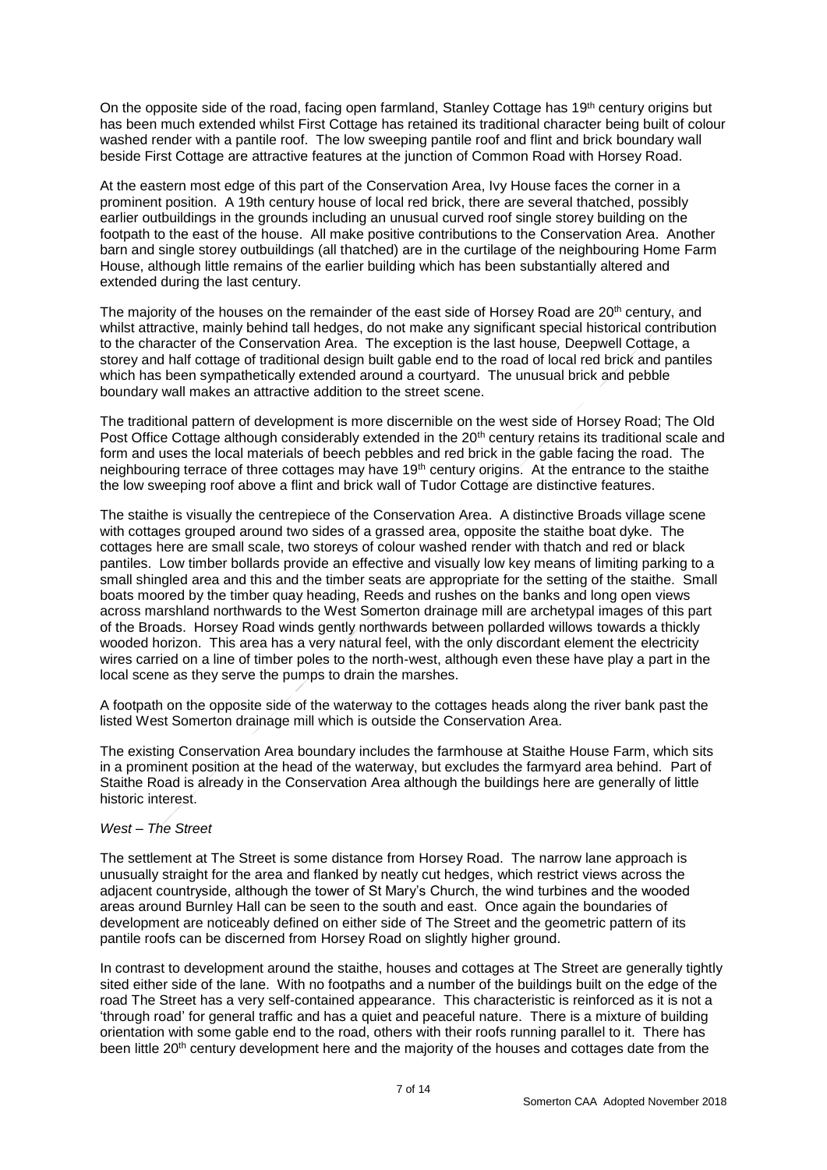On the opposite side of the road, facing open farmland, Stanley Cottage has 19<sup>th</sup> century origins but has been much extended whilst First Cottage has retained its traditional character being built of colour washed render with a pantile roof. The low sweeping pantile roof and flint and brick boundary wall beside First Cottage are attractive features at the junction of Common Road with Horsey Road.

At the eastern most edge of this part of the Conservation Area, Ivy House faces the corner in a prominent position. A 19th century house of local red brick, there are several thatched, possibly earlier outbuildings in the grounds including an unusual curved roof single storey building on the footpath to the east of the house. All make positive contributions to the Conservation Area. Another barn and single storey outbuildings (all thatched) are in the curtilage of the neighbouring Home Farm House, although little remains of the earlier building which has been substantially altered and extended during the last century.

The majority of the houses on the remainder of the east side of Horsey Road are 20<sup>th</sup> century, and whilst attractive, mainly behind tall hedges, do not make any significant special historical contribution to the character of the Conservation Area. The exception is the last house*,* Deepwell Cottage, a storey and half cottage of traditional design built gable end to the road of local red brick and pantiles which has been sympathetically extended around a courtyard. The unusual brick and pebble boundary wall makes an attractive addition to the street scene.

The traditional pattern of development is more discernible on the west side of Horsey Road; The Old Post Office Cottage although considerably extended in the 20<sup>th</sup> century retains its traditional scale and form and uses the local materials of beech pebbles and red brick in the gable facing the road. The neighbouring terrace of three cottages may have 19<sup>th</sup> century origins. At the entrance to the staithe the low sweeping roof above a flint and brick wall of Tudor Cottage are distinctive features.

The staithe is visually the centrepiece of the Conservation Area. A distinctive Broads village scene with cottages grouped around two sides of a grassed area, opposite the staithe boat dyke. The cottages here are small scale, two storeys of colour washed render with thatch and red or black pantiles. Low timber bollards provide an effective and visually low key means of limiting parking to a small shingled area and this and the timber seats are appropriate for the setting of the staithe. Small boats moored by the timber quay heading, Reeds and rushes on the banks and long open views across marshland northwards to the West Somerton drainage mill are archetypal images of this part of the Broads. Horsey Road winds gently northwards between pollarded willows towards a thickly wooded horizon. This area has a very natural feel, with the only discordant element the electricity wires carried on a line of timber poles to the north-west, although even these have play a part in the local scene as they serve the pumps to drain the marshes.

A footpath on the opposite side of the waterway to the cottages heads along the river bank past the listed West Somerton drainage mill which is outside the Conservation Area.

The existing Conservation Area boundary includes the farmhouse at Staithe House Farm, which sits in a prominent position at the head of the waterway, but excludes the farmyard area behind. Part of Staithe Road is already in the Conservation Area although the buildings here are generally of little historic interest.

#### *West – The Street*

The settlement at The Street is some distance from Horsey Road. The narrow lane approach is unusually straight for the area and flanked by neatly cut hedges, which restrict views across the adjacent countryside, although the tower of St Mary's Church, the wind turbines and the wooded areas around Burnley Hall can be seen to the south and east. Once again the boundaries of development are noticeably defined on either side of The Street and the geometric pattern of its pantile roofs can be discerned from Horsey Road on slightly higher ground.

In contrast to development around the staithe, houses and cottages at The Street are generally tightly sited either side of the lane. With no footpaths and a number of the buildings built on the edge of the road The Street has a very self-contained appearance. This characteristic is reinforced as it is not a 'through road' for general traffic and has a quiet and peaceful nature. There is a mixture of building orientation with some gable end to the road, others with their roofs running parallel to it. There has been little 20<sup>th</sup> century development here and the majority of the houses and cottages date from the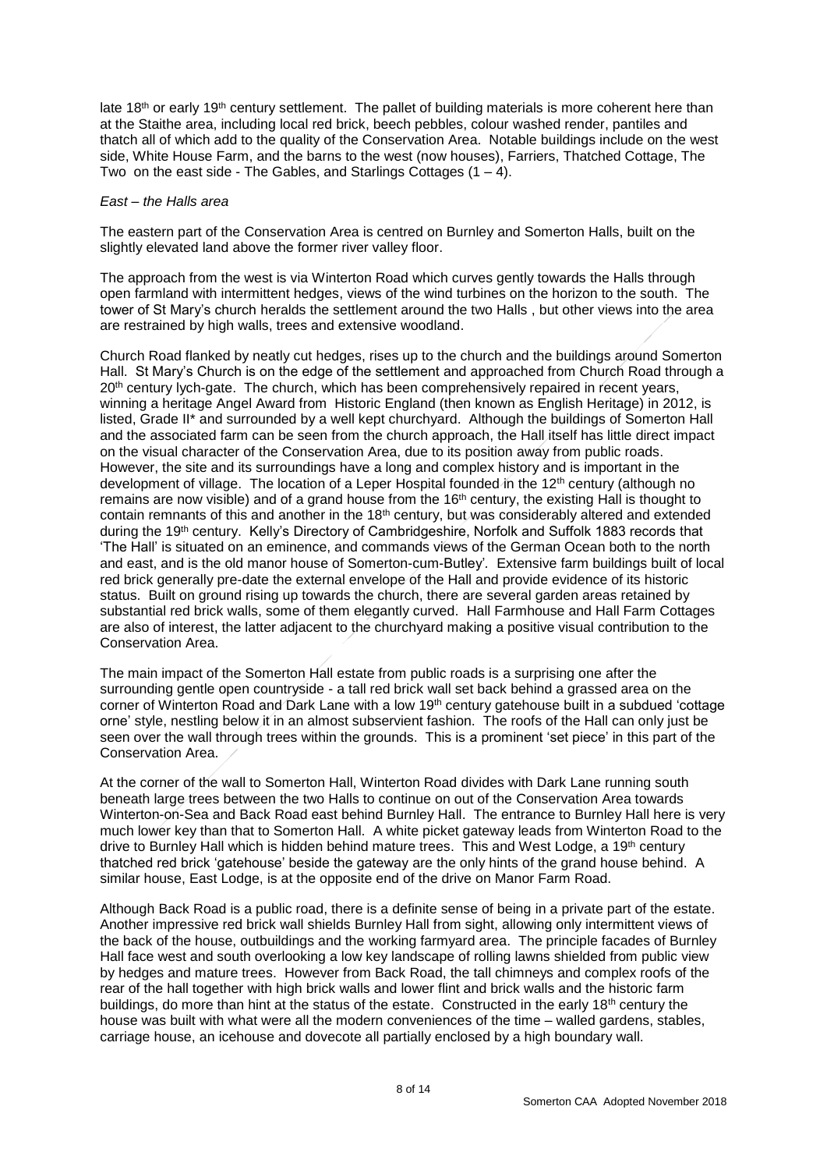late 18<sup>th</sup> or early 19<sup>th</sup> century settlement. The pallet of building materials is more coherent here than at the Staithe area, including local red brick, beech pebbles, colour washed render, pantiles and thatch all of which add to the quality of the Conservation Area. Notable buildings include on the west side, White House Farm, and the barns to the west (now houses), Farriers, Thatched Cottage, The Two on the east side - The Gables, and Starlings Cottages  $(1 - 4)$ .

#### *East – the Halls area*

The eastern part of the Conservation Area is centred on Burnley and Somerton Halls, built on the slightly elevated land above the former river valley floor.

The approach from the west is via Winterton Road which curves gently towards the Halls through open farmland with intermittent hedges, views of the wind turbines on the horizon to the south. The tower of St Mary's church heralds the settlement around the two Halls , but other views into the area are restrained by high walls, trees and extensive woodland.

Church Road flanked by neatly cut hedges, rises up to the church and the buildings around Somerton Hall. St Mary's Church is on the edge of the settlement and approached from Church Road through a 20<sup>th</sup> century lych-gate. The church, which has been comprehensively repaired in recent years, winning a heritage Angel Award from Historic England (then known as English Heritage) in 2012, is listed, Grade II\* and surrounded by a well kept churchyard. Although the buildings of Somerton Hall and the associated farm can be seen from the church approach, the Hall itself has little direct impact on the visual character of the Conservation Area, due to its position away from public roads. However, the site and its surroundings have a long and complex history and is important in the development of village. The location of a Leper Hospital founded in the 12th century (although no remains are now visible) and of a grand house from the 16<sup>th</sup> century, the existing Hall is thought to contain remnants of this and another in the 18<sup>th</sup> century, but was considerably altered and extended during the 19<sup>th</sup> century. Kelly's Directory of Cambridgeshire, Norfolk and Suffolk 1883 records that 'The Hall' is situated on an eminence, and commands views of the German Ocean both to the north and east, and is the old manor house of Somerton-cum-Butley'*.* Extensive farm buildings built of local red brick generally pre-date the external envelope of the Hall and provide evidence of its historic status. Built on ground rising up towards the church, there are several garden areas retained by substantial red brick walls, some of them elegantly curved. Hall Farmhouse and Hall Farm Cottages are also of interest, the latter adjacent to the churchyard making a positive visual contribution to the Conservation Area.

The main impact of the Somerton Hall estate from public roads is a surprising one after the surrounding gentle open countryside - a tall red brick wall set back behind a grassed area on the corner of Winterton Road and Dark Lane with a low 19<sup>th</sup> century gatehouse built in a subdued 'cottage orne' style, nestling below it in an almost subservient fashion. The roofs of the Hall can only just be seen over the wall through trees within the grounds. This is a prominent 'set piece' in this part of the Conservation Area.

At the corner of the wall to Somerton Hall, Winterton Road divides with Dark Lane running south beneath large trees between the two Halls to continue on out of the Conservation Area towards Winterton-on-Sea and Back Road east behind Burnley Hall. The entrance to Burnley Hall here is very much lower key than that to Somerton Hall. A white picket gateway leads from Winterton Road to the drive to Burnley Hall which is hidden behind mature trees. This and West Lodge, a 19<sup>th</sup> century thatched red brick 'gatehouse' beside the gateway are the only hints of the grand house behind.A similar house, East Lodge, is at the opposite end of the drive on Manor Farm Road.

Although Back Road is a public road, there is a definite sense of being in a private part of the estate. Another impressive red brick wall shields Burnley Hall from sight, allowing only intermittent views of the back of the house, outbuildings and the working farmyard area. The principle facades of Burnley Hall face west and south overlooking a low key landscape of rolling lawns shielded from public view by hedges and mature trees. However from Back Road, the tall chimneys and complex roofs of the rear of the hall together with high brick walls and lower flint and brick walls and the historic farm buildings, do more than hint at the status of the estate. Constructed in the early 18<sup>th</sup> century the house was built with what were all the modern conveniences of the time – walled gardens, stables, carriage house, an icehouse and dovecote all partially enclosed by a high boundary wall.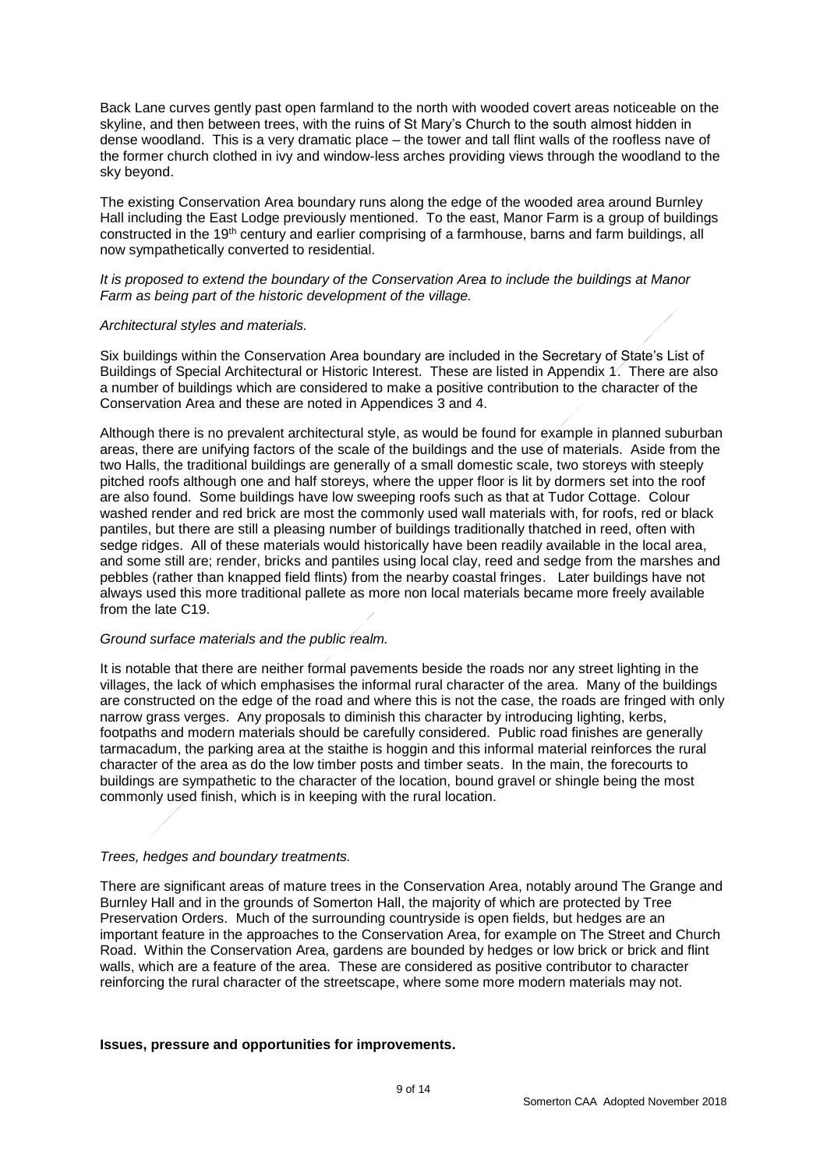Back Lane curves gently past open farmland to the north with wooded covert areas noticeable on the skyline, and then between trees, with the ruins of St Mary's Church to the south almost hidden in dense woodland. This is a very dramatic place – the tower and tall flint walls of the roofless nave of the former church clothed in ivy and window-less arches providing views through the woodland to the sky beyond.

The existing Conservation Area boundary runs along the edge of the wooded area around Burnley Hall including the East Lodge previously mentioned. To the east, Manor Farm is a group of buildings constructed in the 19th century and earlier comprising of a farmhouse, barns and farm buildings, all now sympathetically converted to residential.

#### *It is proposed to extend the boundary of the Conservation Area to include the buildings at Manor Farm as being part of the historic development of the village.*

#### *Architectural styles and materials.*

Six buildings within the Conservation Area boundary are included in the Secretary of State's List of Buildings of Special Architectural or Historic Interest. These are listed in Appendix 1. There are also a number of buildings which are considered to make a positive contribution to the character of the Conservation Area and these are noted in Appendices 3 and 4.

Although there is no prevalent architectural style, as would be found for example in planned suburban areas, there are unifying factors of the scale of the buildings and the use of materials. Aside from the two Halls, the traditional buildings are generally of a small domestic scale, two storeys with steeply pitched roofs although one and half storeys, where the upper floor is lit by dormers set into the roof are also found. Some buildings have low sweeping roofs such as that at Tudor Cottage. Colour washed render and red brick are most the commonly used wall materials with, for roofs, red or black pantiles, but there are still a pleasing number of buildings traditionally thatched in reed, often with sedge ridges. All of these materials would historically have been readily available in the local area, and some still are; render, bricks and pantiles using local clay, reed and sedge from the marshes and pebbles (rather than knapped field flints) from the nearby coastal fringes. Later buildings have not always used this more traditional pallete as more non local materials became more freely available from the late C19.

#### *Ground surface materials and the public realm.*

It is notable that there are neither formal pavements beside the roads nor any street lighting in the villages, the lack of which emphasises the informal rural character of the area. Many of the buildings are constructed on the edge of the road and where this is not the case, the roads are fringed with only narrow grass verges. Any proposals to diminish this character by introducing lighting, kerbs, footpaths and modern materials should be carefully considered. Public road finishes are generally tarmacadum, the parking area at the staithe is hoggin and this informal material reinforces the rural character of the area as do the low timber posts and timber seats. In the main, the forecourts to buildings are sympathetic to the character of the location, bound gravel or shingle being the most commonly used finish, which is in keeping with the rural location.

#### *Trees, hedges and boundary treatments.*

There are significant areas of mature trees in the Conservation Area, notably around The Grange and Burnley Hall and in the grounds of Somerton Hall, the majority of which are protected by Tree Preservation Orders. Much of the surrounding countryside is open fields, but hedges are an important feature in the approaches to the Conservation Area, for example on The Street and Church Road. Within the Conservation Area, gardens are bounded by hedges or low brick or brick and flint walls, which are a feature of the area. These are considered as positive contributor to character reinforcing the rural character of the streetscape, where some more modern materials may not.

#### **Issues, pressure and opportunities for improvements.**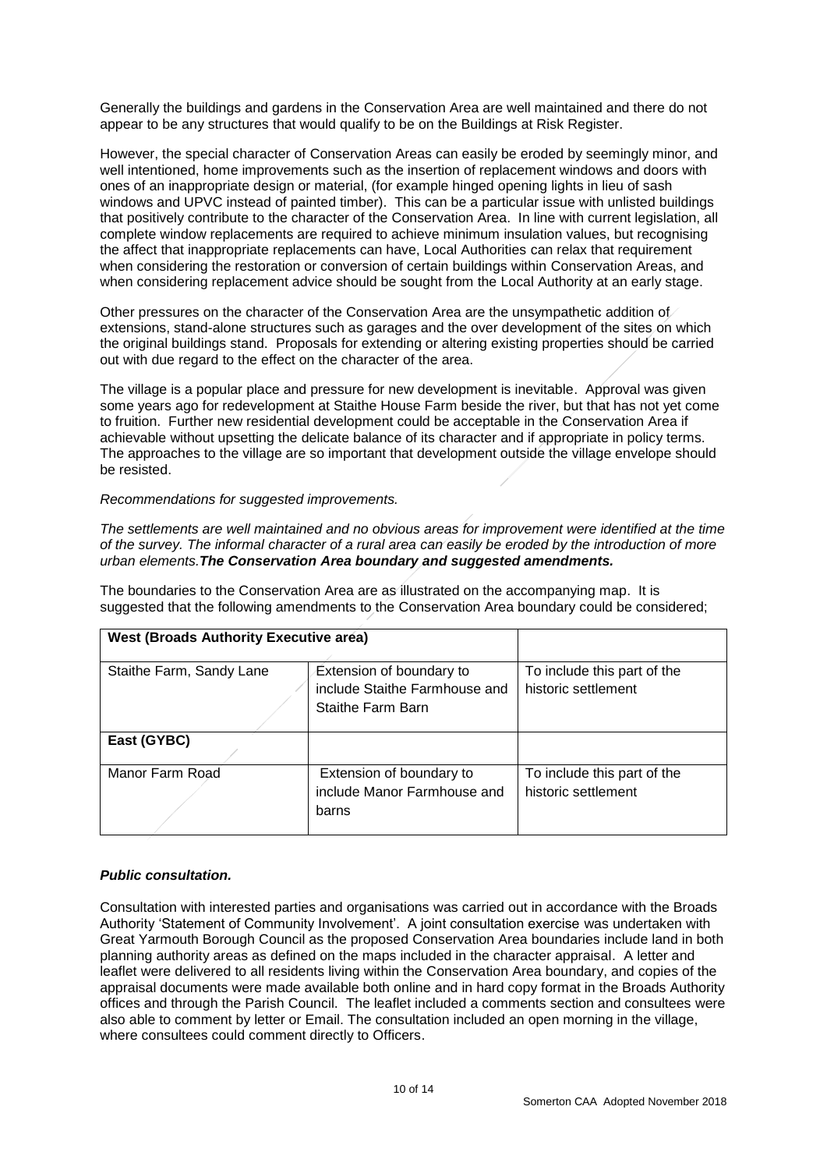Generally the buildings and gardens in the Conservation Area are well maintained and there do not appear to be any structures that would qualify to be on the Buildings at Risk Register.

However, the special character of Conservation Areas can easily be eroded by seemingly minor, and well intentioned, home improvements such as the insertion of replacement windows and doors with ones of an inappropriate design or material, (for example hinged opening lights in lieu of sash windows and UPVC instead of painted timber). This can be a particular issue with unlisted buildings that positively contribute to the character of the Conservation Area. In line with current legislation, all complete window replacements are required to achieve minimum insulation values, but recognising the affect that inappropriate replacements can have, Local Authorities can relax that requirement when considering the restoration or conversion of certain buildings within Conservation Areas, and when considering replacement advice should be sought from the Local Authority at an early stage.

Other pressures on the character of the Conservation Area are the unsympathetic addition of extensions, stand-alone structures such as garages and the over development of the sites on which the original buildings stand. Proposals for extending or altering existing properties should be carried out with due regard to the effect on the character of the area.

The village is a popular place and pressure for new development is inevitable. Approval was given some years ago for redevelopment at Staithe House Farm beside the river, but that has not yet come to fruition. Further new residential development could be acceptable in the Conservation Area if achievable without upsetting the delicate balance of its character and if appropriate in policy terms. The approaches to the village are so important that development outside the village envelope should be resisted.

#### *Recommendations for suggested improvements.*

*The settlements are well maintained and no obvious areas for improvement were identified at the time of the survey. The informal character of a rural area can easily be eroded by the introduction of more urban elements.The Conservation Area boundary and suggested amendments.*

The boundaries to the Conservation Area are as illustrated on the accompanying map. It is suggested that the following amendments to the Conservation Area boundary could be considered;

| <b>West (Broads Authority Executive aréa)</b> |                                                                                |                                                    |
|-----------------------------------------------|--------------------------------------------------------------------------------|----------------------------------------------------|
| Staithe Farm, Sandy Lane                      | Extension of boundary to<br>include Staithe Farmhouse and<br>Staithe Farm Barn | To include this part of the<br>historic settlement |
| East (GYBC)                                   |                                                                                |                                                    |
| Manor Farm Road                               | Extension of boundary to<br>include Manor Farmhouse and<br>barns               | To include this part of the<br>historic settlement |

## *Public consultation.*

Consultation with interested parties and organisations was carried out in accordance with the Broads Authority 'Statement of Community Involvement'. A joint consultation exercise was undertaken with Great Yarmouth Borough Council as the proposed Conservation Area boundaries include land in both planning authority areas as defined on the maps included in the character appraisal. A letter and leaflet were delivered to all residents living within the Conservation Area boundary, and copies of the appraisal documents were made available both online and in hard copy format in the Broads Authority offices and through the Parish Council. The leaflet included a comments section and consultees were also able to comment by letter or Email. The consultation included an open morning in the village, where consultees could comment directly to Officers.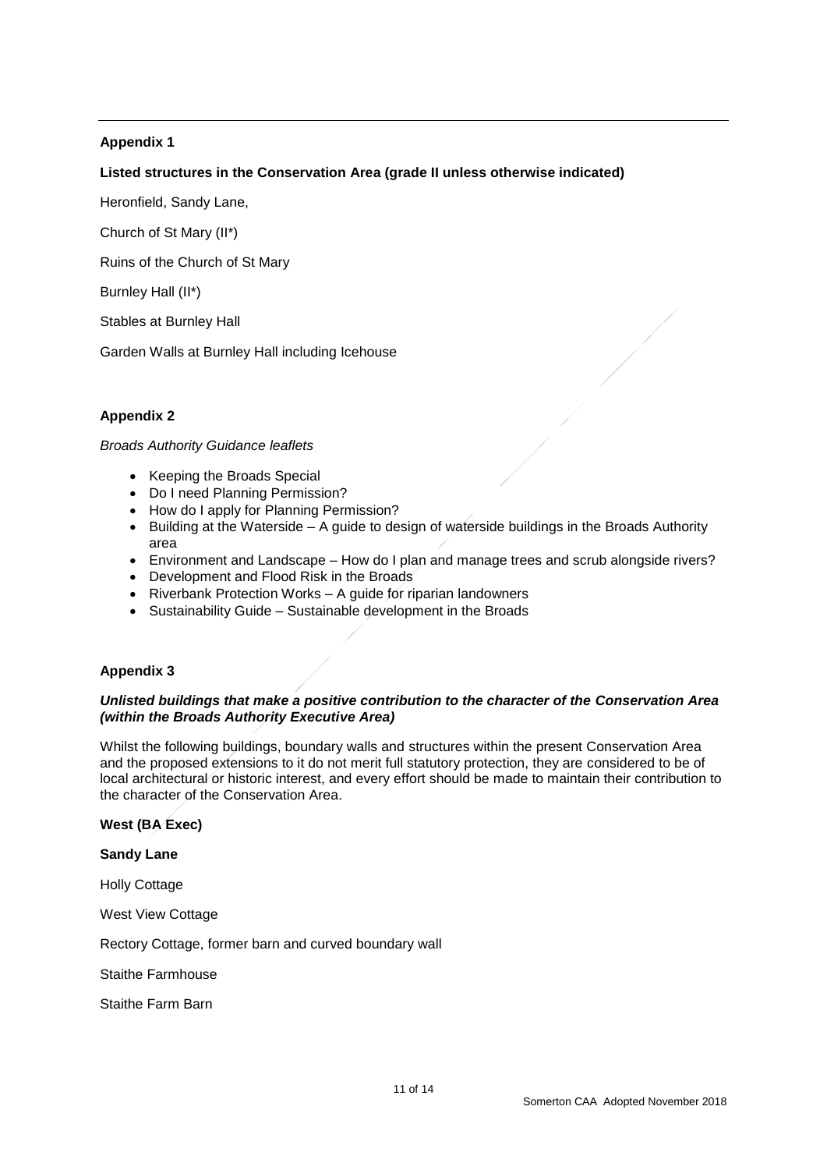## **Appendix 1**

## **Listed structures in the Conservation Area (grade II unless otherwise indicated)**

Heronfield, Sandy Lane,

Church of St Mary (II\*)

Ruins of the Church of St Mary

Burnley Hall (II\*)

Stables at Burnley Hall

Garden Walls at Burnley Hall including Icehouse

## **Appendix 2**

#### *Broads Authority Guidance leaflets*

- Keeping the Broads Special
- Do I need Planning Permission?
- How do I apply for Planning Permission?
- Building at the Waterside A guide to design of waterside buildings in the Broads Authority area
- Environment and Landscape How do I plan and manage trees and scrub alongside rivers?
- Development and Flood Risk in the Broads
- Riverbank Protection Works A guide for riparian landowners
- Sustainability Guide Sustainable development in the Broads

## **Appendix 3**

#### *Unlisted buildings that make a positive contribution to the character of the Conservation Area (within the Broads Authority Executive Area)*

Whilst the following buildings, boundary walls and structures within the present Conservation Area and the proposed extensions to it do not merit full statutory protection, they are considered to be of local architectural or historic interest, and every effort should be made to maintain their contribution to the character of the Conservation Area.

#### **West (BA Exec)**

**Sandy Lane**

Holly Cottage

West View Cottage

Rectory Cottage, former barn and curved boundary wall

Staithe Farmhouse

Staithe Farm Barn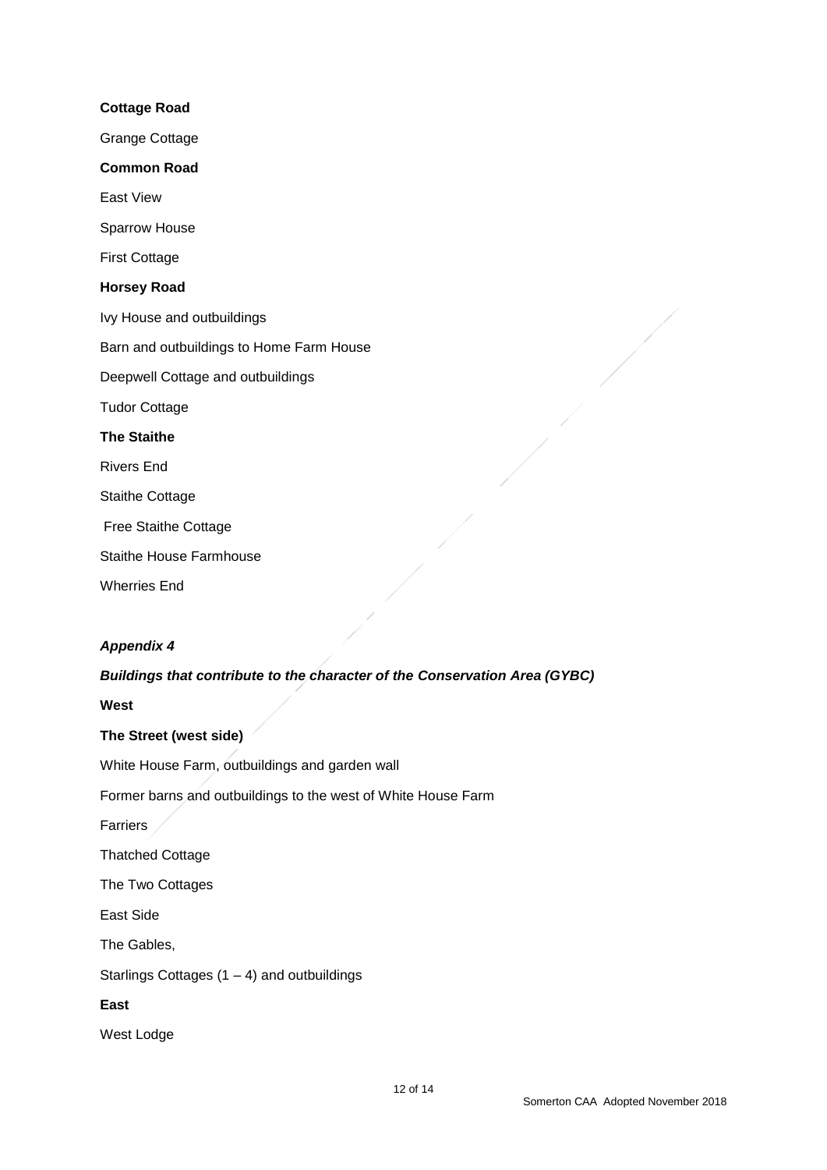# **Cottage Road** Grange Cottage **Common Road** East View Sparrow House First Cottage **Horsey Road** Ivy House and outbuildings Barn and outbuildings to Home Farm House Deepwell Cottage and outbuildings Tudor Cottage **The Staithe** Rivers End Staithe Cottage Free Staithe Cottage Staithe House Farmhouse Wherries End

## *Appendix 4*

## *Buildings that contribute to the character of the Conservation Area (GYBC)*

**West** 

## **The Street (west side)**

White House Farm, outbuildings and garden wall

Former barns and outbuildings to the west of White House Farm

Farriers

Thatched Cottage

The Two Cottages

East Side

The Gables,

Starlings Cottages  $(1 – 4)$  and outbuildings

## **East**

West Lodge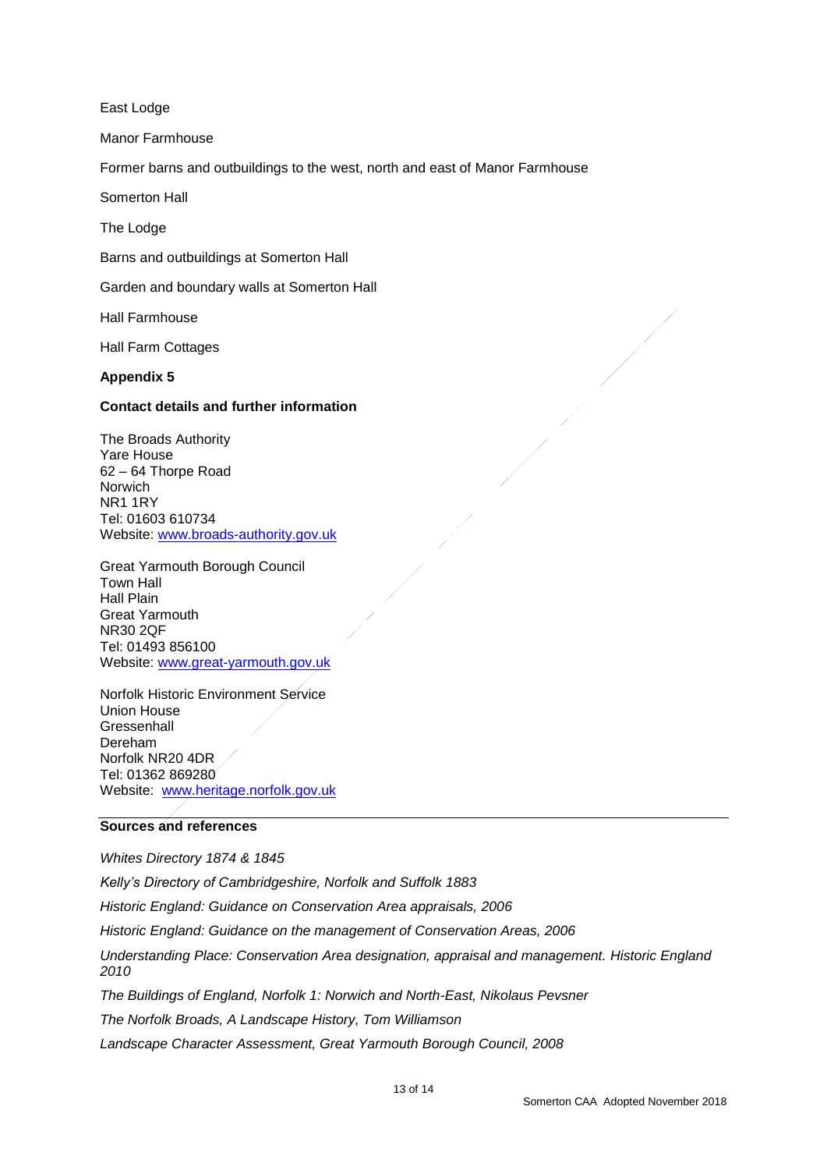East Lodge

Manor Farmhouse

Former barns and outbuildings to the west, north and east of Manor Farmhouse

Somerton Hall

The Lodge

Barns and outbuildings at Somerton Hall

Garden and boundary walls at Somerton Hall

Hall Farmhouse

Hall Farm Cottages

#### **Appendix 5**

#### **Contact details and further information**

The Broads Authority Yare House 62 – 64 Thorpe Road Norwich NR1 1RY Tel: 01603 610734 Website: [www.broads-authority.gov.uk](http://www.broads-authority.gov.uk/)

Great Yarmouth Borough Council Town Hall Hall Plain Great Yarmouth NR30 2QF Tel: 01493 856100 Website: [www.great-yarmouth.gov.uk](http://www.great-yarmouth.gov.uk/)

Norfolk Historic Environment Service Union House **Gressenhall** Dereham Norfolk NR20 4DR Tel: 01362 869280 Website: [www.heritage.norfolk.gov.uk](http://www.heritage.norfolk.gov.uk/)

#### **Sources and references**

*Whites Directory 1874 & 1845 Kelly's Directory of Cambridgeshire, Norfolk and Suffolk 1883 Historic England: Guidance on Conservation Area appraisals, 2006 Historic England: Guidance on the management of Conservation Areas, 2006 Understanding Place: Conservation Area designation, appraisal and management. Historic England 2010 The Buildings of England, Norfolk 1: Norwich and North-East, Nikolaus Pevsner The Norfolk Broads, A Landscape History, Tom Williamson Landscape Character Assessment, Great Yarmouth Borough Council, 2008*